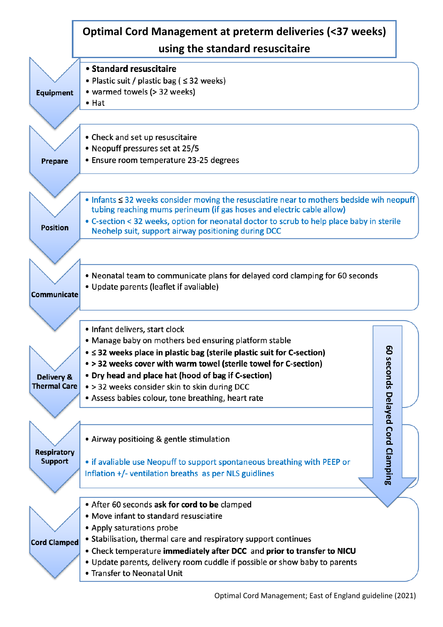|                     | Optimal Cord Management at preterm deliveries (<37 weeks)<br>using the standard resuscitaire                                                     |  |  |  |
|---------------------|--------------------------------------------------------------------------------------------------------------------------------------------------|--|--|--|
|                     |                                                                                                                                                  |  |  |  |
|                     | • Standard resuscitaire                                                                                                                          |  |  |  |
|                     | • Plastic suit / plastic bag ( $\leq$ 32 weeks)                                                                                                  |  |  |  |
| <b>Equipment</b>    | • warmed towels (> 32 weeks)                                                                                                                     |  |  |  |
|                     | $\bullet$ Hat                                                                                                                                    |  |  |  |
|                     |                                                                                                                                                  |  |  |  |
|                     | • Check and set up resuscitaire                                                                                                                  |  |  |  |
|                     | • Neopuff pressures set at 25/5                                                                                                                  |  |  |  |
| <b>Prepare</b>      | • Ensure room temperature 23-25 degrees                                                                                                          |  |  |  |
|                     |                                                                                                                                                  |  |  |  |
|                     | $\bullet$ Infants $\leq$ 32 weeks consider moving the resusciatire near to mothers bedside wih neopuff                                           |  |  |  |
|                     | tubing reaching mums perineum (if gas hoses and electric cable allow)                                                                            |  |  |  |
| <b>Position</b>     | • C-section < 32 weeks, option for neonatal doctor to scrub to help place baby in sterile<br>Neohelp suit, support airway positioning during DCC |  |  |  |
|                     |                                                                                                                                                  |  |  |  |
|                     |                                                                                                                                                  |  |  |  |
|                     | • Neonatal team to communicate plans for delayed cord clamping for 60 seconds                                                                    |  |  |  |
|                     | • Update parents (leaflet if avaliable)                                                                                                          |  |  |  |
| Communicate         |                                                                                                                                                  |  |  |  |
|                     |                                                                                                                                                  |  |  |  |
|                     | • Infant delivers, start clock                                                                                                                   |  |  |  |
|                     | • Manage baby on mothers bed ensuring platform stable                                                                                            |  |  |  |
|                     | ဥ<br>$\bullet \leq$ 32 weeks place in plastic bag (sterile plastic suit for C-section)                                                           |  |  |  |
|                     | • > 32 weeks cover with warm towel (sterile towel for C-section)                                                                                 |  |  |  |
| Delivery &          | • Dry head and place hat (hood of bag if C-section)                                                                                              |  |  |  |
| <b>Thermal Care</b> | • > 32 weeks consider skin to skin during DCC                                                                                                    |  |  |  |
|                     | • Assess babies colour, tone breathing, heart rate                                                                                               |  |  |  |
|                     | seconds Delayed Cord Clamping                                                                                                                    |  |  |  |
|                     |                                                                                                                                                  |  |  |  |
|                     | • Airway positioing & gentle stimulation                                                                                                         |  |  |  |
| <b>Respiratory</b>  |                                                                                                                                                  |  |  |  |
| <b>Support</b>      | • if avaliable use Neopuff to support spontaneous breathing with PEEP or                                                                         |  |  |  |
|                     | Inflation +/- ventilation breaths as per NLS guidlines                                                                                           |  |  |  |
|                     |                                                                                                                                                  |  |  |  |
|                     | • After 60 seconds ask for cord to be clamped                                                                                                    |  |  |  |
|                     | • Move infant to standard resusciatire                                                                                                           |  |  |  |
|                     | • Apply saturations probe                                                                                                                        |  |  |  |
| <b>Cord Clamped</b> | • Stabilisation, thermal care and respiratory support continues                                                                                  |  |  |  |
|                     | . Check temperature immediately after DCC and prior to transfer to NICU                                                                          |  |  |  |
|                     | • Update parents, delivery room cuddle if possible or show baby to parents                                                                       |  |  |  |
|                     | • Transfer to Neonatal Unit                                                                                                                      |  |  |  |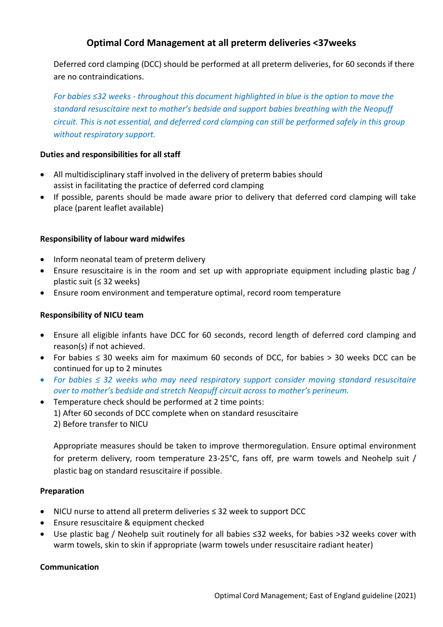# **Optimal Cord Management at all preterm deliveries <37weeks**

Deferred cord clamping (DCC) should be performed at all preterm deliveries, for 60 seconds if there are no contraindications.

*For babies ≤32 weeks - throughout this document highlighted in blue is the option to move the standard resuscitaire next to mother's bedside and support babies breathing with the Neopuff circuit. This is not essential, and deferred cord clamping can still be performed safely in this group without respiratory support.*

## **Duties and responsibilities for all staff**

- All multidisciplinary staff involved in the delivery of preterm babies should assist in facilitating the practice of deferred cord clamping
- If possible, parents should be made aware prior to delivery that deferred cord clamping will take place (parent leaflet available)

### **Responsibility of labour ward midwifes**

- Inform neonatal team of preterm delivery
- Ensure resuscitaire is in the room and set up with appropriate equipment including plastic bag / plastic suit (≤ 32 weeks)
- Ensure room environment and temperature optimal, record room temperature

### **Responsibility of NICU team**

- Ensure all eligible infants have DCC for 60 seconds, record length of deferred cord clamping and reason(s) if not achieved.
- For babies ≤ 30 weeks aim for maximum 60 seconds of DCC, for babies > 30 weeks DCC can be continued for up to 2 minutes
- *For babies ≤ 32 weeks who may need respiratory support consider moving standard resuscitaire over to mother's bedside and stretch Neopuff circuit across to mother's perineum.*
- Temperature check should be performed at 2 time points: 1) After 60 seconds of DCC complete when on standard resuscitaire 2) Before transfer to NICU

Appropriate measures should be taken to improve thermoregulation. Ensure optimal environment for preterm delivery, room temperature 23-25°C, fans off, pre warm towels and Neohelp suit / plastic bag on standard resuscitaire if possible.

### **Preparation**

- NICU nurse to attend all preterm deliveries ≤ 32 week to support DCC
- Ensure resuscitaire & equipment checked
- Use plastic bag / Neohelp suit routinely for all babies ≤32 weeks, for babies >32 weeks cover with warm towels, skin to skin if appropriate (warm towels under resuscitaire radiant heater)

### **Communication**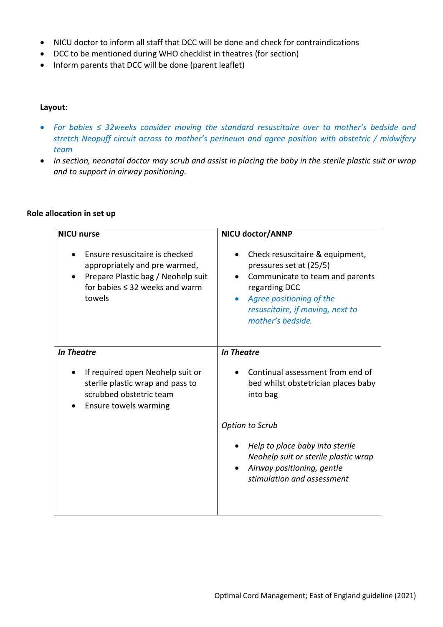- NICU doctor to inform all staff that DCC will be done and check for contraindications
- DCC to be mentioned during WHO checklist in theatres (for section)
- Inform parents that DCC will be done (parent leaflet)

#### **Layout:**

- *For babies ≤ 32weeks consider moving the standard resuscitaire over to mother's bedside and stretch Neopuff circuit across to mother's perineum and agree position with obstetric / midwifery team*
- *In section, neonatal doctor may scrub and assist in placing the baby in the sterile plastic suit or wrap and to support in airway positioning.*

#### **Role allocation in set up**

| <b>NICU nurse</b>                                                                                                                                      | NICU doctor/ANNP                                                                                                                                                                                                 |  |  |
|--------------------------------------------------------------------------------------------------------------------------------------------------------|------------------------------------------------------------------------------------------------------------------------------------------------------------------------------------------------------------------|--|--|
| Ensure resuscitaire is checked<br>appropriately and pre warmed,<br>Prepare Plastic bag / Neohelp suit<br>for babies $\leq$ 32 weeks and warm<br>towels | Check resuscitaire & equipment,<br>pressures set at (25/5)<br>Communicate to team and parents<br>regarding DCC<br>Agree positioning of the<br>$\bullet$<br>resuscitaire, if moving, next to<br>mother's bedside. |  |  |
| <b>In Theatre</b>                                                                                                                                      | <b>In Theatre</b>                                                                                                                                                                                                |  |  |
| If required open Neohelp suit or<br>sterile plastic wrap and pass to<br>scrubbed obstetric team<br>Ensure towels warming                               | Continual assessment from end of<br>bed whilst obstetrician places baby<br>into bag                                                                                                                              |  |  |
|                                                                                                                                                        | Option to Scrub                                                                                                                                                                                                  |  |  |
|                                                                                                                                                        | Help to place baby into sterile<br>Neohelp suit or sterile plastic wrap<br>Airway positioning, gentle<br>stimulation and assessment                                                                              |  |  |